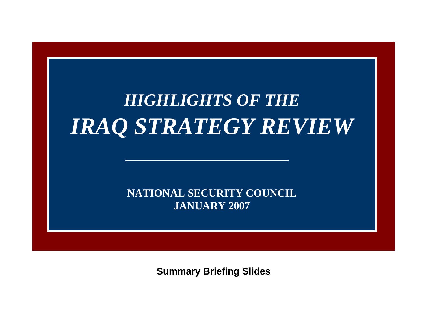# *HIGHLIGHTS OF THEIRAQ STRATEGY REVIEW*

**NATIONAL SECURITY COUNCILJANUARY 2007**

**Summary Briefing Slides**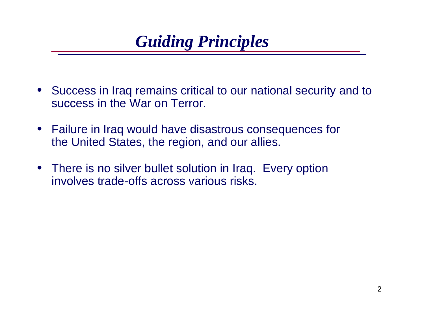### *Guiding Principles*

- Success in Iraq remains critical to our national security and to success in the War on Terror.
- $\bullet$  Failure in Iraq would have disastrous consequences for the United States, the region, and our allies.
- There is no silver bullet solution in Iraq. Every option involves trade-offs across various risks.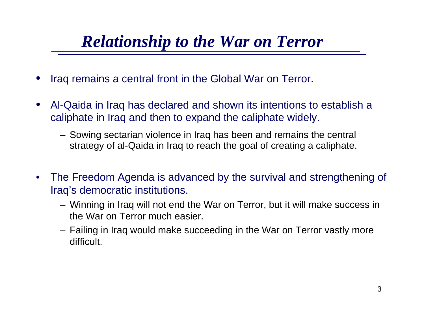## *Relationship to the War on Terror*

- •Iraq remains a central front in the Global War on Terror.
- • Al-Qaida in Iraq has declared and shown its intentions to establish <sup>a</sup> caliphate in Iraq and then to expand the caliphate widely.
	- Sowing sectarian violence in Iraq has been and remains the central strategy of al-Qaida in Iraq to reach the goal of creating a caliphate.
- • The Freedom Agenda is advanced by the survival and strengthening of Iraq's democratic institutions.
	- Winning in Iraq will not end the War on Terror, but it will make success in the War on Terror much easier.
	- Failing in Iraq would make succeeding in the War on Terror vastly more difficult.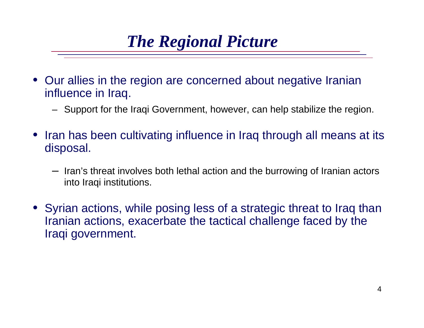## *The Regional Picture*

- Our allies in the region are concerned about negative Iranian influence in Iraq.
	- Support for the Iraqi Government, however, can help stabilize the region.
- $\bullet$  Iran has been cultivating influence in Iraq through all means at its disposal.
	- Iran's threat involves both lethal action and the burrowing of Iranian actors into Iraqi institutions.
- Syrian actions, while posing less of a strategic threat to Iraq than Iranian actions, exacerbate the tactical challenge faced by the Iraqi government.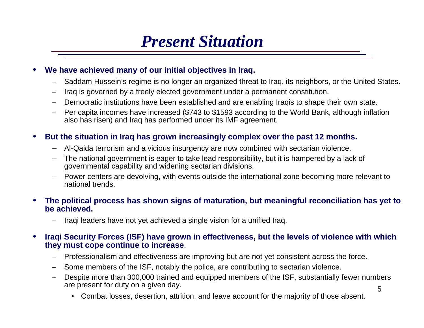### *Present Situation*

#### •**We have achieved many of our initial objectives in Iraq.**

- –Saddam Hussein's regime is no longer an organized threat to Iraq, its neighbors, or the United States.
- –Iraq is governed by a freely elected government under a permanent constitution.
- –Democratic institutions have been established and are enabling Iraqis to shape their own state.
- Per capita incomes have increased (\$743 to \$1593 according to the World Bank, although inflation also has risen) and Iraq has performed under its IMF agreement.

#### •**But the situation in Iraq has grown increasingly complex over the past 12 months.**

- –Al-Qaida terrorism and a vicious insurgency are now combined with sectarian violence.
- – The national government is eager to take lead responsibility, but it is hampered by a lack of governmental capability and widening sectarian divisions.
- Power centers are devolving, with events outside the international zone becoming more relevant to national trends.

#### • **The political process has shown signs of maturation, but meaningful reconciliation has yet to be achieved.**

Iraqi leaders have not vet achieved a single vision for a unified Iraq.

#### •**Iraqi Security Forces (ISF) have grown in effectiveness, but the levels of violence with which they must cope continue to increase**.

- Professionalism and effectiveness are improving but are not yet consistent across the force.
- –Some members of the ISF, notably the police, are contributing to sectarian violence.
- – Despite more than 300,000 trained and equipped members of the ISF, substantially fewer numbers are present for duty on a given day.
	- •Combat losses, desertion, attrition, and leave account for the majority of those absent.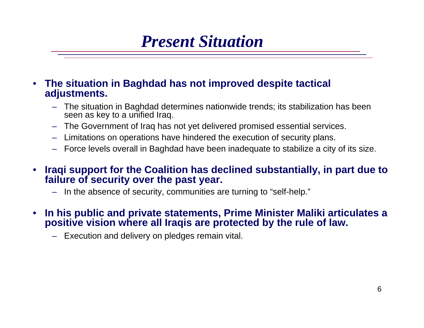### *Present Situation*

#### • **The situation in Baghdad has not improved despite tactical adjustments.**

- The situation in Baghdad determines nationwide trends; its stabilization has been seen as key to a unified Iraq.
- –The Government of Iraq has not yet delivered promised essential services.
- –Limitations on operations have hindered the execution of security plans.
- –Force levels overall in Baghdad have been inadequate to stabilize a city of its size.
- • **Iraqi support for the Coalition has declined substantially, in part due to failure of security over the past year.**
	- –In the absence of security, communities are turning to "self-help."
- • **In his public and private statements, Prime Minister Maliki articulates a positive vision where all Iraqis are protected by the rule of law.**
	- Execution and delivery on pledges remain vital.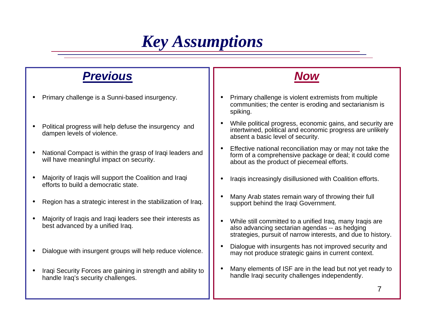### *Key Assumptions*

### *Previous*

- •Primary challenge is a Sunni-based insurgency.
- • Political progress will help defuse the insurgency and dampen levels of violence.
- • National Compact is within the grasp of Iraqi leaders and will have meaningful impact on security.
- • Majority of Iraqis will support the Coalition and Iraqi efforts to build a democratic state.
- •Region has a strategic interest in the stabilization of Iraq.
- • Majority of Iraqis and Iraqi leaders see their interests as best advanced by a unified Iraq.
- •Dialogue with insurgent groups will help reduce violence.
- • Iraqi Security Forces are gaining in strength and ability to handle Iraq's security challenges.



- • Primary challenge is violent extremists from multiple communities; the center is eroding and sectarianism is spiking.
- • While political progress, economic gains, and security are intertwined, political and economic progress are unlikely absent a basic level of security.
- • Effective national reconciliation may or may not take the form of a comprehensive package or deal; it could come about as the product of piecemeal efforts.
- •Iraqis increasingly disillusioned with Coalition efforts.
- • Many Arab states remain wary of throwing their full support behind the Iraqi Government.
- • While still committed to a unified Iraq, many Iraqis are also advancing sectarian agendas -- as hedging strategies, pursuit of narrow interests, and due to history.
- • Dialogue with insurgents has not improved security and may not produce strategic gains in current context.
- • Many elements of ISF are in the lead but not yet ready to handle Iraqi security challenges independently.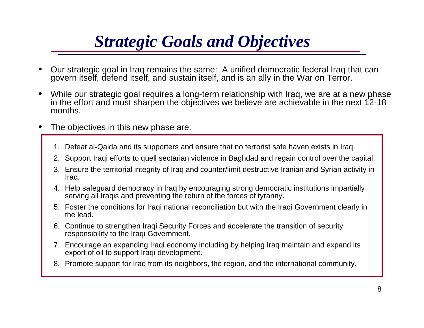## *Strategic Goals and Objectives*

- • Our strategic goal in Iraq remains the same: A unified democratic federal Iraq that can govern itself, defend itself, and sustain itself, and is an ally in the War on Terror.
- • While our strategic goal requires a long-term relationship with Iraq, we are at a new phase in the effort and must sharpen the objectives we believe are achievable in the next 12-18 months.
- • The objectives in this new phase are:
	- 1. Defeat al-Qaida and its supporters and ensure that no terrorist safe haven exists in Iraq.
	- 2. Support Iraqi efforts to quell sectarian violence in Baghdad and regain control over the capital.
	- 3. Ensure the territorial integrity of Iraq and counter/limit destructive Iranian and Syrian activity in Iraq.
	- 4. Help safeguard democracy in Iraq by encouraging strong democratic institutions impartially serving all Iraqis and preventing the return of the forces of tyranny.
	- 5. Foster the conditions for Iraqi national reconciliation but with the Iraqi Government clearly in the lead.
	- 6. Continue to strengthen Iraqi Security Forces and accelerate the transition of security responsibility to the Iraqi Government.
	- 7. Encourage an expanding Iraqi economy including by helping Iraq maintain and expand its export of oil to support Iraqi development.
	- 8. Promote support for Iraq from its neighbors, the region, and the international community.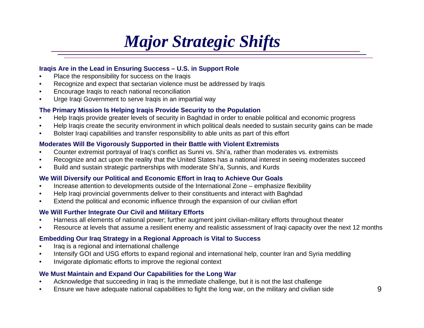## *Major Strategic Shifts*

### **Iraqis Are in the Lead in Ensuring Success – U.S. in Support Role**

- •Place the responsibility for success on the Iraqis
- •Recognize and expect that sectarian violence must be addressed by Iraqis
- •Encourage Iraqis to reach national reconciliation
- $\bullet$ Urge Iraqi Government to serve Iraqis in an impartial way

### **The Primary Mission Is Helping Iraqis Provide Security to the Population**

- •Help Iraqis provide greater levels of security in Baghdad in order to enable political and economic progress
- •Help Iraqis create the security environment in which political deals needed to sustain security gains can be made
- •Bolster Iraqi capabilities and transfer responsibility to able units as part of this effort

#### **Moderates Will Be Vigorously Supported in their Battle with Violent Extremists**

- •Counter extremist portrayal of Iraq's conflict as Sunni vs. Shi'a, rather than moderates vs. extremists
- •Recognize and act upon the reality that the United States has a national interest in seeing moderates succeed
- •Build and sustain strategic partnerships with moderate Shi'a, Sunnis, and Kurds

#### **We Will Diversify our Political and Economic Effort in Iraq to Achieve Our Goals**

- •Increase attention to developments outside of the International Zone – emphasize flexibility
- •Help Iraqi provincial governments deliver to their constituents and interact with Baghdad
- •Extend the political and economic influence through the expansion of our civilian effort

#### **We Will Further Integrate Our Civil and Military Efforts**

- •Harness all elements of national power; further augment joint civilian-military efforts throughout theater
- •Resource at levels that assume a resilient enemy and realistic assessment of Iraqi capacity over the next 12 months

#### **Embedding Our Iraq Strategy in a Regional Approach is Vital to Success**

- •Iraq is a regional and international challenge
- •Intensify GOI and USG efforts to expand regional and international help, counter Iran and Syria meddling
- •Invigorate diplomatic efforts to improve the regional context

#### **We Must Maintain and Expand Our Capabilities for the Long War**

- •Acknowledge that succeeding in Iraq is the immediate challenge, but it is not the last challenge
- •Ensure we have adequate national capabilities to fight the long war, on the military and civilian side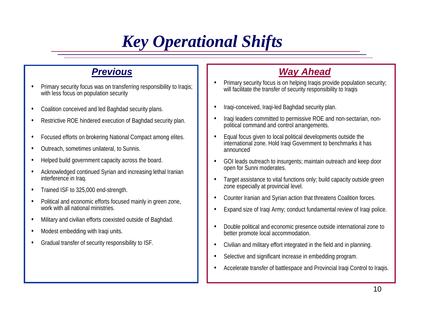## *Key Operational Shifts*

### *Previous*

- • Primary security focus was on transferring responsibility to Iraqis; with less focus on population security
- •Coalition conceived and led Baghdad security plans.
- •Restrictive ROE hindered execution of Baghdad security plan.
- •Focused efforts on brokering National Compact among elites.
- •Outreach, sometimes unilateral, to Sunnis.
- •Helped build government capacity across the board.
- • Acknowledged continued Syrian and increasing lethal Iranian interference in Iraq.
- •Trained ISF to 325,000 end-strength.
- • Political and economic efforts focused mainly in green zone, work with all national ministries.
- •Military and civilian efforts coexisted outside of Baghdad.
- •Modest embedding with Iraqi units.
- •Gradual transfer of security responsibility to ISF.

### *Way Ahead*

- •Primary security focus is on helping Iraqis provide population security; will facilitate the transfer of security responsibility to Iraqis
- •Iraqi-conceived, Iraqi-led Baghdad security plan.
- • Iraqi leaders committed to permissive ROE and non-sectarian, nonpolitical command and control arrangements.
- • Equal focus given to local political developments outside the international zone. Hold Iraqi Government to benchmarks it has announced
- • GOI leads outreach to insurgents; maintain outreach and keep door open for Sunni moderates.
- • Target assistance to vital functions only; build capacity outside green zone especially at provincial level.
- •Counter Iranian and Syrian action that threatens Coalition forces.
- •Expand size of Iraqi Army; conduct fundamental review of Iraqi police.
- • Double political and economic presence outside international zone to better promote local accommodation.
- •Civilian and military effort integrated in the field and in planning.
- •Selective and significant increase in embedding program.
- •Accelerate transfer of battlespace and Provincial Iraqi Control to Iraqis.